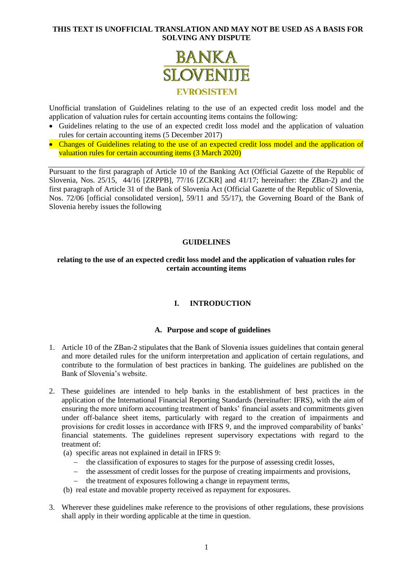

Unofficial translation of Guidelines relating to the use of an expected credit loss model and the application of valuation rules for certain accounting items contains the following:

- Guidelines relating to the use of an expected credit loss model and the application of valuation rules for certain accounting items (5 December 2017)
- Changes of Guidelines relating to the use of an expected credit loss model and the application of valuation rules for certain accounting items (3 March 2020)

Pursuant to the first paragraph of Article 10 of the Banking Act (Official Gazette of the Republic of Slovenia, Nos. 25/15, 44/16 [ZRPPB], 77/16 [ZCKR] and 41/17; hereinafter: the ZBan-2) and the first paragraph of Article 31 of the Bank of Slovenia Act (Official Gazette of the Republic of Slovenia, Nos. 72/06 [official consolidated version], 59/11 and 55/17), the Governing Board of the Bank of Slovenia hereby issues the following

# **GUIDELINES**

# **relating to the use of an expected credit loss model and the application of valuation rules for certain accounting items**

# **I. INTRODUCTION**

#### **A. Purpose and scope of guidelines**

- 1. Article 10 of the ZBan-2 stipulates that the Bank of Slovenia issues guidelines that contain general and more detailed rules for the uniform interpretation and application of certain regulations, and contribute to the formulation of best practices in banking. The guidelines are published on the Bank of Slovenia's website.
- 2. These guidelines are intended to help banks in the establishment of best practices in the application of the International Financial Reporting Standards (hereinafter: IFRS), with the aim of ensuring the more uniform accounting treatment of banks' financial assets and commitments given under off-balance sheet items, particularly with regard to the creation of impairments and provisions for credit losses in accordance with IFRS 9, and the improved comparability of banks' financial statements. The guidelines represent supervisory expectations with regard to the treatment of:
	- (a) specific areas not explained in detail in IFRS 9:
		- the classification of exposures to stages for the purpose of assessing credit losses,
		- the assessment of credit losses for the purpose of creating impairments and provisions,
		- the treatment of exposures following a change in repayment terms,
	- (b) real estate and movable property received as repayment for exposures.
- 3. Wherever these guidelines make reference to the provisions of other regulations, these provisions shall apply in their wording applicable at the time in question.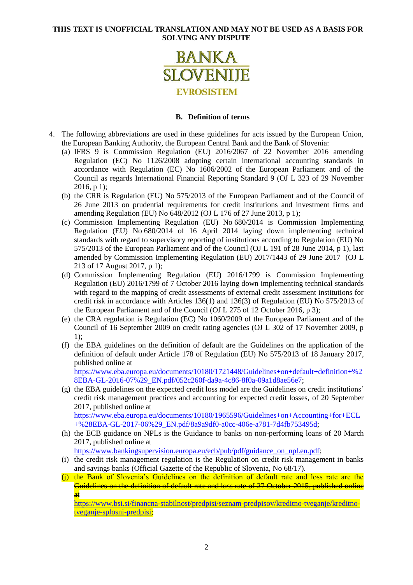

#### **B. Definition of terms**

- 4. The following abbreviations are used in these guidelines for acts issued by the European Union, the European Banking Authority, the European Central Bank and the Bank of Slovenia:
	- (a) IFRS 9 is Commission Regulation (EU) 2016/2067 of 22 November 2016 amending Regulation (EC) No 1126/2008 adopting certain international accounting standards in accordance with Regulation (EC) No 1606/2002 of the European Parliament and of the Council as regards International Financial Reporting Standard 9 (OJ L 323 of 29 November 2016, p 1);
	- (b) the CRR is Regulation (EU) No 575/2013 of the European Parliament and of the Council of 26 June 2013 on prudential requirements for credit institutions and investment firms and amending Regulation (EU) No 648/2012 (OJ L 176 of 27 June 2013, p 1);
	- (c) Commission Implementing Regulation (EU) No 680/2014 is Commission Implementing Regulation (EU) No 680/2014 of 16 April 2014 laying down implementing technical standards with regard to supervisory reporting of institutions according to Regulation (EU) No 575/2013 of the European Parliament and of the Council (OJ L 191 of 28 June 2014, p 1), last amended by Commission Implementing Regulation (EU) 2017/1443 of 29 June 2017 (OJ L 213 of 17 August 2017, p 1);
	- (d) Commission Implementing Regulation (EU) 2016/1799 is Commission Implementing Regulation (EU) 2016/1799 of 7 October 2016 laying down implementing technical standards with regard to the mapping of credit assessments of external credit assessment institutions for credit risk in accordance with Articles 136(1) and 136(3) of Regulation (EU) No 575/2013 of the European Parliament and of the Council (OJ L 275 of 12 October 2016, p 3);
	- (e) the CRA regulation is Regulation (EC) No 1060/2009 of the European Parliament and of the Council of 16 September 2009 on credit rating agencies (OJ L 302 of 17 November 2009, p 1);
	- (f) the EBA guidelines on the definition of default are the Guidelines on the application of the definition of default under Article 178 of Regulation (EU) No 575/2013 of 18 January 2017, published online at [https://www.eba.europa.eu/documents/10180/1721448/Guidelines+on+default+definition+%2](https://www.eba.europa.eu/documents/10180/1721448/Guidelines+on+default+definition+%28EBA-GL-2016-07%29_EN.pdf/052c260f-da9a-4c86-8f0a-09a1d8ae56e7)

[8EBA-GL-2016-07%29\\_EN.pdf/052c260f-da9a-4c86-8f0a-09a1d8ae56e7;](https://www.eba.europa.eu/documents/10180/1721448/Guidelines+on+default+definition+%28EBA-GL-2016-07%29_EN.pdf/052c260f-da9a-4c86-8f0a-09a1d8ae56e7)

- (g) the EBA guidelines on the expected credit loss model are the Guidelines on credit institutions' credit risk management practices and accounting for expected credit losses, of 20 September 2017, published online at [https://www.eba.europa.eu/documents/10180/1965596/Guidelines+on+Accounting+for+ECL](https://www.eba.europa.eu/documents/10180/1965596/Guidelines+on+Accounting+for+ECL+%28EBA-GL-2017-06%29_EN.pdf/8a9a9df0-a0cc-406e-a781-7d4fb753495d) [+%28EBA-GL-2017-06%29\\_EN.pdf/8a9a9df0-a0cc-406e-a781-7d4fb753495d;](https://www.eba.europa.eu/documents/10180/1965596/Guidelines+on+Accounting+for+ECL+%28EBA-GL-2017-06%29_EN.pdf/8a9a9df0-a0cc-406e-a781-7d4fb753495d)
- (h) the ECB guidance on NPLs is the Guidance to banks on non-performing loans of 20 March 2017, published online at

[https://www.bankingsupervision.europa.eu/ecb/pub/pdf/guidance\\_on\\_npl.en.pdf;](https://www.bankingsupervision.europa.eu/ecb/pub/pdf/guidance_on_npl.en.pdf)

- (i) the credit risk management regulation is the Regulation on credit risk management in banks and savings banks (Official Gazette of the Republic of Slovenia, No 68/17).
- (j) the Bank of Slovenia's Guidelines on the definition of default rate and loss rate are the Guidelines on the definition of default rate and loss rate of 27 October 2015, published online at

[https://www.bsi.si/financna-stabilnost/predpisi/seznam-predpisov/kreditno-tveganje/kreditno](https://www.bsi.si/financna-stabilnost/predpisi/seznam-predpisov/kreditno-tveganje/kreditno-tveganje-splosni-predpisi)[tveganje-splosni-predpisi;](https://www.bsi.si/financna-stabilnost/predpisi/seznam-predpisov/kreditno-tveganje/kreditno-tveganje-splosni-predpisi)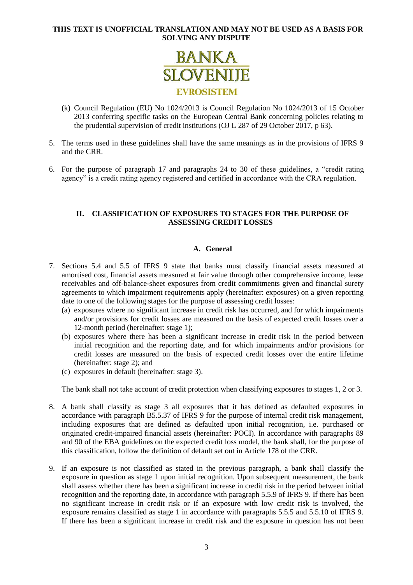

- (k) Council Regulation (EU) No 1024/2013 is Council Regulation No 1024/2013 of 15 October 2013 conferring specific tasks on the European Central Bank concerning policies relating to the prudential supervision of credit institutions (OJ L 287 of 29 October 2017, p 63).
- 5. The terms used in these guidelines shall have the same meanings as in the provisions of IFRS 9 and the CRR.
- 6. For the purpose of paragraph [17](#page-4-0) and paragraphs [24](#page-6-0) to [30](#page-8-0) of these guidelines, a "credit rating agency" is a credit rating agency registered and certified in accordance with the CRA regulation.

# **II. CLASSIFICATION OF EXPOSURES TO STAGES FOR THE PURPOSE OF ASSESSING CREDIT LOSSES**

# **A. General**

- 7. Sections 5.4 and 5.5 of IFRS 9 state that banks must classify financial assets measured at amortised cost, financial assets measured at fair value through other comprehensive income, lease receivables and off-balance-sheet exposures from credit commitments given and financial surety agreements to which impairment requirements apply (hereinafter: exposures) on a given reporting date to one of the following stages for the purpose of assessing credit losses:
	- (a) exposures where no significant increase in credit risk has occurred, and for which impairments and/or provisions for credit losses are measured on the basis of expected credit losses over a 12-month period (hereinafter: stage 1);
	- (b) exposures where there has been a significant increase in credit risk in the period between initial recognition and the reporting date, and for which impairments and/or provisions for credit losses are measured on the basis of expected credit losses over the entire lifetime (hereinafter: stage 2); and
	- (c) exposures in default (hereinafter: stage 3).

The bank shall not take account of credit protection when classifying exposures to stages 1, 2 or 3.

- 8. A bank shall classify as stage 3 all exposures that it has defined as defaulted exposures in accordance with paragraph B5.5.37 of IFRS 9 for the purpose of internal credit risk management, including exposures that are defined as defaulted upon initial recognition, i.e. purchased or originated credit-impaired financial assets (hereinafter: POCI). In accordance with paragraphs 89 and 90 of the EBA guidelines on the expected credit loss model, the bank shall, for the purpose of this classification, follow the definition of default set out in Article 178 of the CRR.
- 9. If an exposure is not classified as stated in the previous paragraph, a bank shall classify the exposure in question as stage 1 upon initial recognition. Upon subsequent measurement, the bank shall assess whether there has been a significant increase in credit risk in the period between initial recognition and the reporting date, in accordance with paragraph 5.5.9 of IFRS 9. If there has been no significant increase in credit risk or if an exposure with low credit risk is involved, the exposure remains classified as stage 1 in accordance with paragraphs 5.5.5 and 5.5.10 of IFRS 9. If there has been a significant increase in credit risk and the exposure in question has not been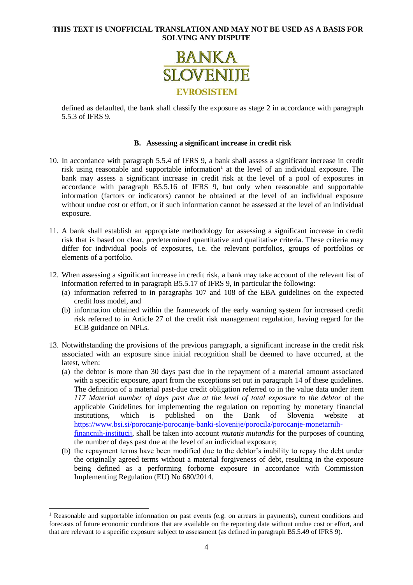

defined as defaulted, the bank shall classify the exposure as stage 2 in accordance with paragraph 5.5.3 of IFRS 9.

#### **B. Assessing a significant increase in credit risk**

- 10. In accordance with paragraph 5.5.4 of IFRS 9, a bank shall assess a significant increase in credit risk using reasonable and supportable information<sup>1</sup> at the level of an individual exposure. The bank may assess a significant increase in credit risk at the level of a pool of exposures in accordance with paragraph B5.5.16 of IFRS 9, but only when reasonable and supportable information (factors or indicators) cannot be obtained at the level of an individual exposure without undue cost or effort, or if such information cannot be assessed at the level of an individual exposure.
- 11. A bank shall establish an appropriate methodology for assessing a significant increase in credit risk that is based on clear, predetermined quantitative and qualitative criteria. These criteria may differ for individual pools of exposures, i.e. the relevant portfolios, groups of portfolios or elements of a portfolio.
- <span id="page-3-0"></span>12. When assessing a significant increase in credit risk, a bank may take account of the relevant list of information referred to in paragraph B5.5.17 of IFRS 9, in particular the following:
	- (a) information referred to in paragraphs 107 and 108 of the EBA guidelines on the expected credit loss model, and
	- (b) information obtained within the framework of the early warning system for increased credit risk referred to in Article 27 of the credit risk management regulation, having regard for the ECB guidance on NPLs.
- <span id="page-3-1"></span>13. Notwithstanding the provisions of the previous paragraph, a significant increase in the credit risk associated with an exposure since initial recognition shall be deemed to have occurred, at the latest, when:
	- (a) the debtor is more than 30 days past due in the repayment of a material amount associated with a specific exposure, apart from the exceptions set out in paragraph [14](#page-4-1) of these guidelines. The definition of a material past-due credit obligation referred to in the value data under item *117 Material number of days past due at the level of total exposure to the debtor* of the applicable Guidelines for implementing the regulation on reporting by monetary financial institutions, which is published on the Bank of Slovenia website at [https://www.bsi.si/porocanje/porocanje-banki-slovenije/porocila/porocanje-monetarnih](https://www.bsi.si/porocanje/porocanje-banki-slovenije/porocila/porocanje-monetarnih-financnih-institucij)[financnih-institucij,](https://www.bsi.si/porocanje/porocanje-banki-slovenije/porocila/porocanje-monetarnih-financnih-institucij) shall be taken into account *mutatis mutandis* for the purposes of counting the number of days past due at the level of an individual exposure;
	- (b) the repayment terms have been modified due to the debtor's inability to repay the debt under the originally agreed terms without a material forgiveness of debt, resulting in the exposure being defined as a performing forborne exposure in accordance with Commission Implementing Regulation (EU) No 680/2014.

1

<sup>&</sup>lt;sup>1</sup> Reasonable and supportable information on past events (e.g. on arrears in payments), current conditions and forecasts of future economic conditions that are available on the reporting date without undue cost or effort, and that are relevant to a specific exposure subject to assessment (as defined in paragraph B5.5.49 of IFRS 9).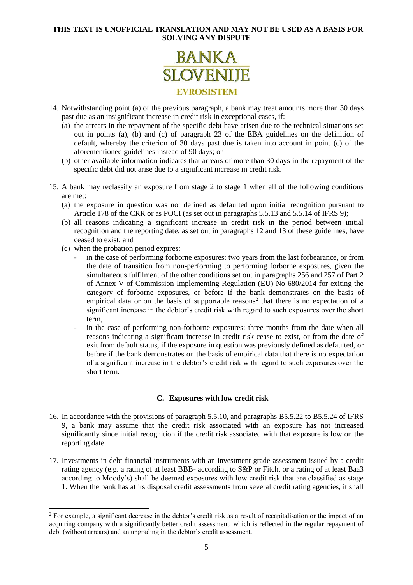

- <span id="page-4-1"></span>14. Notwithstanding point (a) of the previous paragraph, a bank may treat amounts more than 30 days past due as an insignificant increase in credit risk in exceptional cases, if:
	- (a) the arrears in the repayment of the specific debt have arisen due to the technical situations set out in points (a), (b) and (c) of paragraph 23 of the EBA guidelines on the definition of default, whereby the criterion of 30 days past due is taken into account in point (c) of the aforementioned guidelines instead of 90 days; or
	- (b) other available information indicates that arrears of more than 30 days in the repayment of the specific debt did not arise due to a significant increase in credit risk.
- <span id="page-4-2"></span>15. A bank may reclassify an exposure from stage 2 to stage 1 when all of the following conditions are met:
	- (a) the exposure in question was not defined as defaulted upon initial recognition pursuant to Article 178 of the CRR or as POCI (as set out in paragraphs 5.5.13 and 5.5.14 of IFRS 9);
	- (b) all reasons indicating a significant increase in credit risk in the period between initial recognition and the reporting date, as set out in paragraphs [12](#page-3-0) and [13](#page-3-1) of these guidelines, have ceased to exist; and
	- (c) when the probation period expires:

1

- in the case of performing forborne exposures: two years from the last forbearance, or from the date of transition from non-performing to performing forborne exposures, given the simultaneous fulfilment of the other conditions set out in paragraphs 256 and 257 of Part 2 of Annex V of Commission Implementing Regulation (EU) No 680/2014 for exiting the category of forborne exposures, or before if the bank demonstrates on the basis of empirical data or on the basis of supportable reasons<sup>2</sup> that there is no expectation of a significant increase in the debtor's credit risk with regard to such exposures over the short term,
- in the case of performing non-forborne exposures: three months from the date when all reasons indicating a significant increase in credit risk cease to exist, or from the date of exit from default status, if the exposure in question was previously defined as defaulted, or before if the bank demonstrates on the basis of empirical data that there is no expectation of a significant increase in the debtor's credit risk with regard to such exposures over the short term.

# **C. Exposures with low credit risk**

- 16. In accordance with the provisions of paragraph 5.5.10, and paragraphs B5.5.22 to B5.5.24 of IFRS 9, a bank may assume that the credit risk associated with an exposure has not increased significantly since initial recognition if the credit risk associated with that exposure is low on the reporting date.
- <span id="page-4-0"></span>17. Investments in debt financial instruments with an investment grade assessment issued by a credit rating agency (e.g. a rating of at least BBB- according to S&P or Fitch, or a rating of at least Baa3 according to Moody's) shall be deemed exposures with low credit risk that are classified as stage 1. When the bank has at its disposal credit assessments from several credit rating agencies, it shall

<sup>&</sup>lt;sup>2</sup> For example, a significant decrease in the debtor's credit risk as a result of recapitalisation or the impact of an acquiring company with a significantly better credit assessment, which is reflected in the regular repayment of debt (without arrears) and an upgrading in the debtor's credit assessment.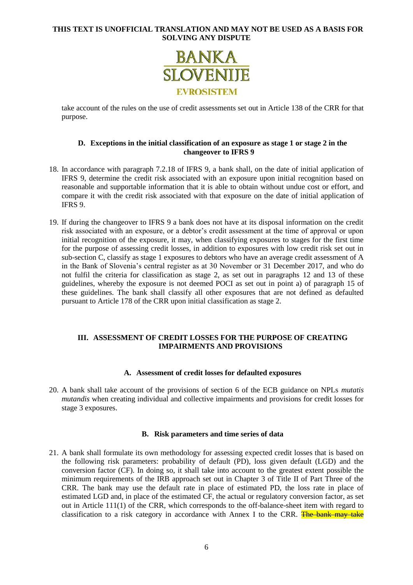

take account of the rules on the use of credit assessments set out in Article 138 of the CRR for that purpose.

#### **D. Exceptions in the initial classification of an exposure as stage 1 or stage 2 in the changeover to IFRS 9**

- 18. In accordance with paragraph 7.2.18 of IFRS 9, a bank shall, on the date of initial application of IFRS 9, determine the credit risk associated with an exposure upon initial recognition based on reasonable and supportable information that it is able to obtain without undue cost or effort, and compare it with the credit risk associated with that exposure on the date of initial application of IFRS 9.
- 19. If during the changeover to IFRS 9 a bank does not have at its disposal information on the credit risk associated with an exposure, or a debtor's credit assessment at the time of approval or upon initial recognition of the exposure, it may, when classifying exposures to stages for the first time for the purpose of assessing credit losses, in addition to exposures with low credit risk set out in sub-section C, classify as stage 1 exposures to debtors who have an average credit assessment of A in the Bank of Slovenia's central register as at 30 November or 31 December 2017, and who do not fulfil the criteria for classification as stage 2, as set out in paragraphs [12](#page-3-0) and [13](#page-3-1) of these guidelines, whereby the exposure is not deemed POCI as set out in point a) of paragraph [15](#page-4-2) of these guidelines. The bank shall classify all other exposures that are not defined as defaulted pursuant to Article 178 of the CRR upon initial classification as stage 2.

# **III. ASSESSMENT OF CREDIT LOSSES FOR THE PURPOSE OF CREATING IMPAIRMENTS AND PROVISIONS**

#### **A. Assessment of credit losses for defaulted exposures**

20. A bank shall take account of the provisions of section 6 of the ECB guidance on NPLs *mutatis mutandis* when creating individual and collective impairments and provisions for credit losses for stage 3 exposures.

# **B. Risk parameters and time series of data**

21. A bank shall formulate its own methodology for assessing expected credit losses that is based on the following risk parameters: probability of default (PD), loss given default (LGD) and the conversion factor (CF). In doing so, it shall take into account to the greatest extent possible the minimum requirements of the IRB approach set out in Chapter 3 of Title II of Part Three of the CRR. The bank may use the default rate in place of estimated PD, the loss rate in place of estimated LGD and, in place of the estimated CF, the actual or regulatory conversion factor, as set out in Article 111(1) of the CRR, which corresponds to the off-balance-sheet item with regard to classification to a risk category in accordance with Annex I to the CRR. The bank may take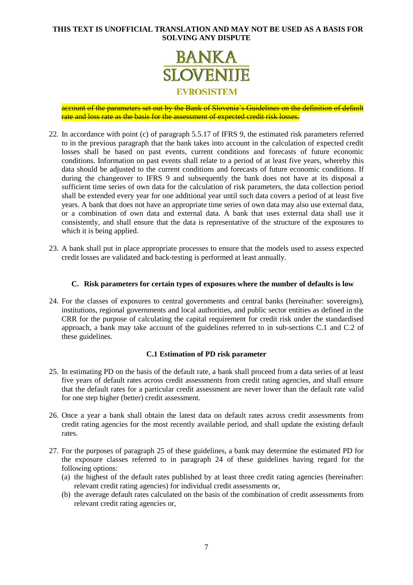

account of the parameters set out by the Bank of Slovenia's Guidelines on the definition of default rate and loss rate as the basis for the assessment of expected credit risk losses.

- 22. In accordance with point (c) of paragraph 5.5.17 of IFRS 9, the estimated risk parameters referred to in the previous paragraph that the bank takes into account in the calculation of expected credit losses shall be based on past events, current conditions and forecasts of future economic conditions. Information on past events shall relate to a period of at least five years, whereby this data should be adjusted to the current conditions and forecasts of future economic conditions. If during the changeover to IFRS 9 and subsequently the bank does not have at its disposal a sufficient time series of own data for the calculation of risk parameters, the data collection period shall be extended every year for one additional year until such data covers a period of at least five years. A bank that does not have an appropriate time series of own data may also use external data, or a combination of own data and external data. A bank that uses external data shall use it consistently, and shall ensure that the data is representative of the structure of the exposures to which it is being applied.
- 23. A bank shall put in place appropriate processes to ensure that the models used to assess expected credit losses are validated and back-testing is performed at least annually.

#### **C. Risk parameters for certain types of exposures where the number of defaults is low**

<span id="page-6-0"></span>24. For the classes of exposures to central governments and central banks (hereinafter: sovereigns), institutions, regional governments and local authorities, and public sector entities as defined in the CRR for the purpose of calculating the capital requirement for credit risk under the standardised approach, a bank may take account of the guidelines referred to in sub-sections C.1 and C.2 of these guidelines.

#### **C.1 Estimation of PD risk parameter**

- <span id="page-6-1"></span>25. In estimating PD on the basis of the default rate, a bank shall proceed from a data series of at least five years of default rates across credit assessments from credit rating agencies, and shall ensure that the default rates for a particular credit assessment are never lower than the default rate valid for one step higher (better) credit assessment.
- 26. Once a year a bank shall obtain the latest data on default rates across credit assessments from credit rating agencies for the most recently available period, and shall update the existing default rates.
- <span id="page-6-2"></span>27. For the purposes of paragraph [25](#page-6-1) of these guidelines, a bank may determine the estimated PD for the exposure classes referred to in paragraph [24](#page-6-0) of these guidelines having regard for the following options:
	- (a) the highest of the default rates published by at least three credit rating agencies (hereinafter: relevant credit rating agencies) for individual credit assessments or,
	- (b) the average default rates calculated on the basis of the combination of credit assessments from relevant credit rating agencies or,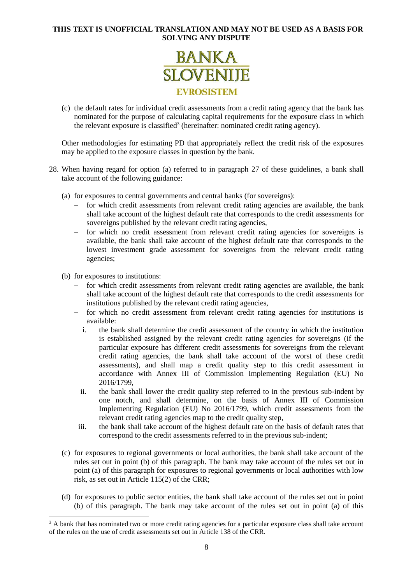

(c) the default rates for individual credit assessments from a credit rating agency that the bank has nominated for the purpose of calculating capital requirements for the exposure class in which the relevant exposure is classified<sup>3</sup> (hereinafter: nominated credit rating agency).

Other methodologies for estimating PD that appropriately reflect the credit risk of the exposures may be applied to the exposure classes in question by the bank.

- 28. When having regard for option (a) referred to in paragraph [27](#page-6-2) of these guidelines, a bank shall take account of the following guidance:
	- (a) for exposures to central governments and central banks (for sovereigns):
		- $\overline{\phantom{a}}$  for which credit assessments from relevant credit rating agencies are available, the bank shall take account of the highest default rate that corresponds to the credit assessments for sovereigns published by the relevant credit rating agencies,
		- for which no credit assessment from relevant credit rating agencies for sovereigns is available, the bank shall take account of the highest default rate that corresponds to the lowest investment grade assessment for sovereigns from the relevant credit rating agencies;
	- (b) for exposures to institutions:

-

- $\overline{\phantom{a}}$  for which credit assessments from relevant credit rating agencies are available, the bank shall take account of the highest default rate that corresponds to the credit assessments for institutions published by the relevant credit rating agencies,
- for which no credit assessment from relevant credit rating agencies for institutions is available:
	- i. the bank shall determine the credit assessment of the country in which the institution is established assigned by the relevant credit rating agencies for sovereigns (if the particular exposure has different credit assessments for sovereigns from the relevant credit rating agencies, the bank shall take account of the worst of these credit assessments), and shall map a credit quality step to this credit assessment in accordance with Annex III of Commission Implementing Regulation (EU) No 2016/1799,
- ii. the bank shall lower the credit quality step referred to in the previous sub-indent by one notch, and shall determine, on the basis of Annex III of Commission Implementing Regulation (EU) No 2016/1799, which credit assessments from the relevant credit rating agencies map to the credit quality step,
- iii. the bank shall take account of the highest default rate on the basis of default rates that correspond to the credit assessments referred to in the previous sub-indent;
- (c) for exposures to regional governments or local authorities, the bank shall take account of the rules set out in point (b) of this paragraph. The bank may take account of the rules set out in point (a) of this paragraph for exposures to regional governments or local authorities with low risk, as set out in Article 115(2) of the CRR;
- (d) for exposures to public sector entities, the bank shall take account of the rules set out in point (b) of this paragraph. The bank may take account of the rules set out in point (a) of this

<sup>&</sup>lt;sup>3</sup> A bank that has nominated two or more credit rating agencies for a particular exposure class shall take account of the rules on the use of credit assessments set out in Article 138 of the CRR.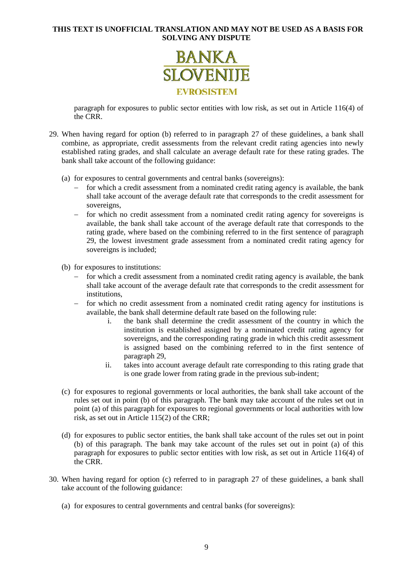

paragraph for exposures to public sector entities with low risk, as set out in Article 116(4) of the CRR.

- 29. When having regard for option (b) referred to in paragraph [27](#page-6-2) of these guidelines, a bank shall combine, as appropriate, credit assessments from the relevant credit rating agencies into newly established rating grades, and shall calculate an average default rate for these rating grades. The bank shall take account of the following guidance:
	- (a) for exposures to central governments and central banks (sovereigns):
		- for which a credit assessment from a nominated credit rating agency is available, the bank shall take account of the average default rate that corresponds to the credit assessment for sovereigns,
		- for which no credit assessment from a nominated credit rating agency for sovereigns is available, the bank shall take account of the average default rate that corresponds to the rating grade, where based on the combining referred to in the first sentence of paragraph 29, the lowest investment grade assessment from a nominated credit rating agency for sovereigns is included;
	- (b) for exposures to institutions:
		- $\overline{\phantom{a}}$  for which a credit assessment from a nominated credit rating agency is available, the bank shall take account of the average default rate that corresponds to the credit assessment for institutions,
		- for which no credit assessment from a nominated credit rating agency for institutions is available, the bank shall determine default rate based on the following rule:
			- i. the bank shall determine the credit assessment of the country in which the institution is established assigned by a nominated credit rating agency for sovereigns, and the corresponding rating grade in which this credit assessment is assigned based on the combining referred to in the first sentence of paragraph 29,
			- ii. takes into account average default rate corresponding to this rating grade that is one grade lower from rating grade in the previous sub-indent;
	- (c) for exposures to regional governments or local authorities, the bank shall take account of the rules set out in point (b) of this paragraph. The bank may take account of the rules set out in point (a) of this paragraph for exposures to regional governments or local authorities with low risk, as set out in Article 115(2) of the CRR;
	- (d) for exposures to public sector entities, the bank shall take account of the rules set out in point (b) of this paragraph. The bank may take account of the rules set out in point (a) of this paragraph for exposures to public sector entities with low risk, as set out in Article 116(4) of the CRR.
- <span id="page-8-0"></span>30. When having regard for option (c) referred to in paragraph [27](#page-6-2) of these guidelines, a bank shall take account of the following guidance:
	- (a) for exposures to central governments and central banks (for sovereigns):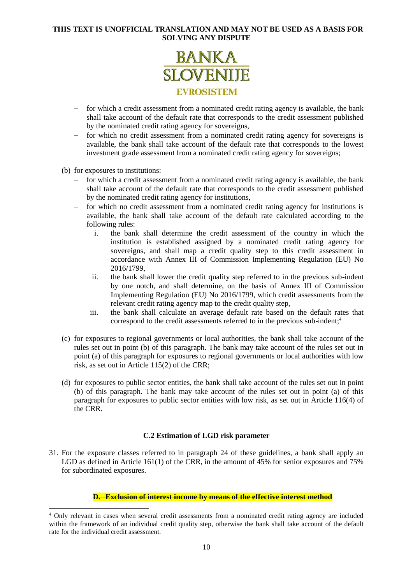

- for which a credit assessment from a nominated credit rating agency is available, the bank shall take account of the default rate that corresponds to the credit assessment published by the nominated credit rating agency for sovereigns,
- for which no credit assessment from a nominated credit rating agency for sovereigns is available, the bank shall take account of the default rate that corresponds to the lowest investment grade assessment from a nominated credit rating agency for sovereigns;
- (b) for exposures to institutions:

1

- $\overline{\phantom{a}}$  for which a credit assessment from a nominated credit rating agency is available, the bank shall take account of the default rate that corresponds to the credit assessment published by the nominated credit rating agency for institutions,
- for which no credit assessment from a nominated credit rating agency for institutions is available, the bank shall take account of the default rate calculated according to the following rules:
	- i. the bank shall determine the credit assessment of the country in which the institution is established assigned by a nominated credit rating agency for sovereigns, and shall map a credit quality step to this credit assessment in accordance with Annex III of Commission Implementing Regulation (EU) No 2016/1799,
	- ii. the bank shall lower the credit quality step referred to in the previous sub-indent by one notch, and shall determine, on the basis of Annex III of Commission Implementing Regulation (EU) No 2016/1799, which credit assessments from the relevant credit rating agency map to the credit quality step,
	- iii. the bank shall calculate an average default rate based on the default rates that correspond to the credit assessments referred to in the previous sub-indent;<sup>4</sup>
- (c) for exposures to regional governments or local authorities, the bank shall take account of the rules set out in point (b) of this paragraph. The bank may take account of the rules set out in point (a) of this paragraph for exposures to regional governments or local authorities with low risk, as set out in Article 115(2) of the CRR;
- (d) for exposures to public sector entities, the bank shall take account of the rules set out in point (b) of this paragraph. The bank may take account of the rules set out in point (a) of this paragraph for exposures to public sector entities with low risk, as set out in Article 116(4) of the CRR.

# **C.2 Estimation of LGD risk parameter**

31. For the exposure classes referred to in paragraph [24](#page-6-0) of these guidelines, a bank shall apply an LGD as defined in Article 161(1) of the CRR, in the amount of 45% for senior exposures and 75% for subordinated exposures.

### **D. Exclusion of interest income by means of the effective interest method**

<sup>4</sup> Only relevant in cases when several credit assessments from a nominated credit rating agency are included within the framework of an individual credit quality step, otherwise the bank shall take account of the default rate for the individual credit assessment.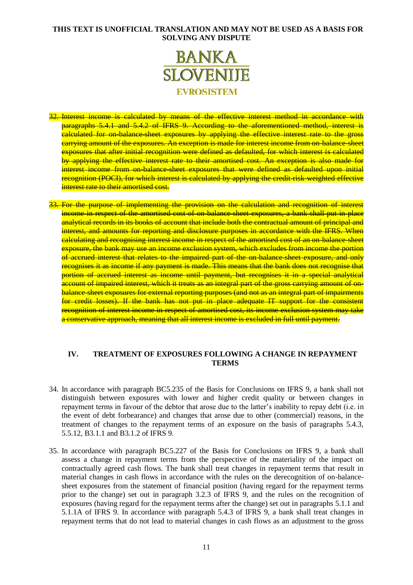

- 32. Interest income is calculated by means of the effective interest method in accordance with paragraphs 5.4.1 and 5.4.2 of IFRS 9. According to the aforementioned method, interest is ealculated for on-balance-sheet exposures by applying the effective interest rate to the gross carrying amount of the exposures. An exception is made for interest income from on-balance-sheet exposures that after initial recognition were defined as defaulted, for which interest is calculated by applying the effective interest rate to their amortised cost. An exception is also made for interest income from on-balance-sheet exposures that were defined as defaulted upon initial recognition (POCI), for which interest is calculated by applying the credit-risk-weighted effective interest rate to their amortised cost.
- 33. For the purpose of implementing the provision on the calculation and recognition of interest income in respect of the amortised cost of on-balance sheet exposures, a bank shall put in place analytical records in its books of account that include both the contractual amount of principal and interest, and amounts for reporting and disclosure purposes in accordance with the IFRS. When calculating and recognising interest income in respect of the amortised cost of an on-balance-sheet exposure, the bank may use an income exclusion system, which excludes from income the portion of accrued interest that relates to the impaired part of the on-balance-sheet exposure, and only recognises it as income if any payment is made. This means that the bank does not recognise that portion of accrued interest as income until payment, but recognises it in a special analytical account of impaired interest, which it treats as an integral part of the gross carrying amount of onbalance-sheet exposures for external reporting purposes (and not as an integral part of impairments for credit losses). If the bank has not put in place adequate IT support for the consistent recognition of interest income in respect of amortised cost, its income exclusion system may take a conservative approach, meaning that all interest income is excluded in full until payment.

# **IV. TREATMENT OF EXPOSURES FOLLOWING A CHANGE IN REPAYMENT TERMS**

- 34. In accordance with paragraph BC5.235 of the Basis for Conclusions on IFRS 9, a bank shall not distinguish between exposures with lower and higher credit quality or between changes in repayment terms in favour of the debtor that arose due to the latter's inability to repay debt (i.e. in the event of debt forbearance) and changes that arose due to other (commercial) reasons, in the treatment of changes to the repayment terms of an exposure on the basis of paragraphs 5.4.3, 5.5.12, B3.1.1 and B3.1.2 of IFRS 9.
- <span id="page-10-0"></span>35. In accordance with paragraph BC5.227 of the Basis for Conclusions on IFRS 9, a bank shall assess a change in repayment terms from the perspective of the materiality of the impact on contractually agreed cash flows. The bank shall treat changes in repayment terms that result in material changes in cash flows in accordance with the rules on the derecognition of on-balancesheet exposures from the statement of financial position (having regard for the repayment terms prior to the change) set out in paragraph 3.2.3 of IFRS 9, and the rules on the recognition of exposures (having regard for the repayment terms after the change) set out in paragraphs 5.1.1 and 5.1.1A of IFRS 9. In accordance with paragraph 5.4.3 of IFRS 9, a bank shall treat changes in repayment terms that do not lead to material changes in cash flows as an adjustment to the gross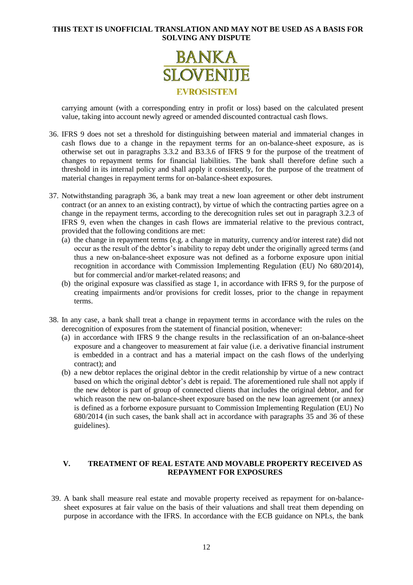

carrying amount (with a corresponding entry in profit or loss) based on the calculated present value, taking into account newly agreed or amended discounted contractual cash flows.

- <span id="page-11-0"></span>36. IFRS 9 does not set a threshold for distinguishing between material and immaterial changes in cash flows due to a change in the repayment terms for an on-balance-sheet exposure, as is otherwise set out in paragraphs 3.3.2 and B3.3.6 of IFRS 9 for the purpose of the treatment of changes to repayment terms for financial liabilities. The bank shall therefore define such a threshold in its internal policy and shall apply it consistently, for the purpose of the treatment of material changes in repayment terms for on-balance-sheet exposures.
- 37. Notwithstanding paragraph [36,](#page-11-0) a bank may treat a new loan agreement or other debt instrument contract (or an annex to an existing contract), by virtue of which the contracting parties agree on a change in the repayment terms, according to the derecognition rules set out in paragraph 3.2.3 of IFRS 9, even when the changes in cash flows are immaterial relative to the previous contract, provided that the following conditions are met:
	- (a) the change in repayment terms (e.g. a change in maturity, currency and/or interest rate) did not occur as the result of the debtor's inability to repay debt under the originally agreed terms (and thus a new on-balance-sheet exposure was not defined as a forborne exposure upon initial recognition in accordance with Commission Implementing Regulation (EU) No 680/2014), but for commercial and/or market-related reasons; and
	- (b) the original exposure was classified as stage 1, in accordance with IFRS 9, for the purpose of creating impairments and/or provisions for credit losses, prior to the change in repayment terms.
- 38. In any case, a bank shall treat a change in repayment terms in accordance with the rules on the derecognition of exposures from the statement of financial position, whenever:
	- (a) in accordance with IFRS 9 the change results in the reclassification of an on-balance-sheet exposure and a changeover to measurement at fair value (i.e. a derivative financial instrument is embedded in a contract and has a material impact on the cash flows of the underlying contract); and
	- (b) a new debtor replaces the original debtor in the credit relationship by virtue of a new contract based on which the original debtor's debt is repaid. The aforementioned rule shall not apply if the new debtor is part of group of connected clients that includes the original debtor, and for which reason the new on-balance-sheet exposure based on the new loan agreement (or annex) is defined as a forborne exposure pursuant to Commission Implementing Regulation (EU) No 680/2014 (in such cases, the bank shall act in accordance with paragraphs [35](#page-10-0) and [36](#page-11-0) of these guidelines).

# **V. TREATMENT OF REAL ESTATE AND MOVABLE PROPERTY RECEIVED AS REPAYMENT FOR EXPOSURES**

39. A bank shall measure real estate and movable property received as repayment for on-balancesheet exposures at fair value on the basis of their valuations and shall treat them depending on purpose in accordance with the IFRS. In accordance with the ECB guidance on NPLs, the bank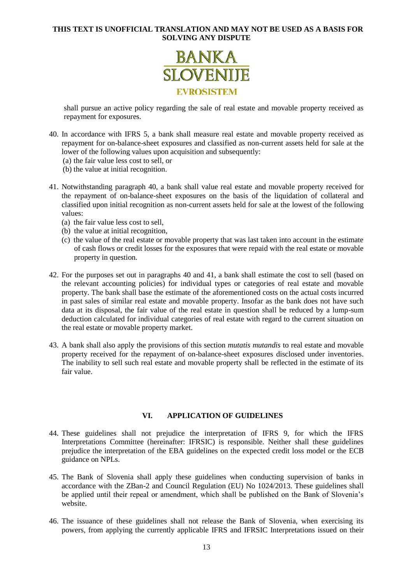

shall pursue an active policy regarding the sale of real estate and movable property received as repayment for exposures.

- <span id="page-12-0"></span>40. In accordance with IFRS 5, a bank shall measure real estate and movable property received as repayment for on-balance-sheet exposures and classified as non-current assets held for sale at the lower of the following values upon acquisition and subsequently:
	- (a) the fair value less cost to sell, or
	- (b) the value at initial recognition.
- <span id="page-12-1"></span>41. Notwithstanding paragraph [40,](#page-12-0) a bank shall value real estate and movable property received for the repayment of on-balance-sheet exposures on the basis of the liquidation of collateral and classified upon initial recognition as non-current assets held for sale at the lowest of the following values:
	- (a) the fair value less cost to sell,
	- (b) the value at initial recognition,
	- (c) the value of the real estate or movable property that was last taken into account in the estimate of cash flows or credit losses for the exposures that were repaid with the real estate or movable property in question.
- 42. For the purposes set out in paragraphs [40](#page-12-0) and [41,](#page-12-1) a bank shall estimate the cost to sell (based on the relevant accounting policies) for individual types or categories of real estate and movable property. The bank shall base the estimate of the aforementioned costs on the actual costs incurred in past sales of similar real estate and movable property. Insofar as the bank does not have such data at its disposal, the fair value of the real estate in question shall be reduced by a lump-sum deduction calculated for individual categories of real estate with regard to the current situation on the real estate or movable property market.
- 43. A bank shall also apply the provisions of this section *mutatis mutandis* to real estate and movable property received for the repayment of on-balance-sheet exposures disclosed under inventories. The inability to sell such real estate and movable property shall be reflected in the estimate of its fair value.

# **VI. APPLICATION OF GUIDELINES**

- 44. These guidelines shall not prejudice the interpretation of IFRS 9, for which the IFRS Interpretations Committee (hereinafter: IFRSIC) is responsible. Neither shall these guidelines prejudice the interpretation of the EBA guidelines on the expected credit loss model or the ECB guidance on NPLs.
- 45. The Bank of Slovenia shall apply these guidelines when conducting supervision of banks in accordance with the ZBan-2 and Council Regulation (EU) No 1024/2013. These guidelines shall be applied until their repeal or amendment, which shall be published on the Bank of Slovenia's website.
- 46. The issuance of these guidelines shall not release the Bank of Slovenia, when exercising its powers, from applying the currently applicable IFRS and IFRSIC Interpretations issued on their